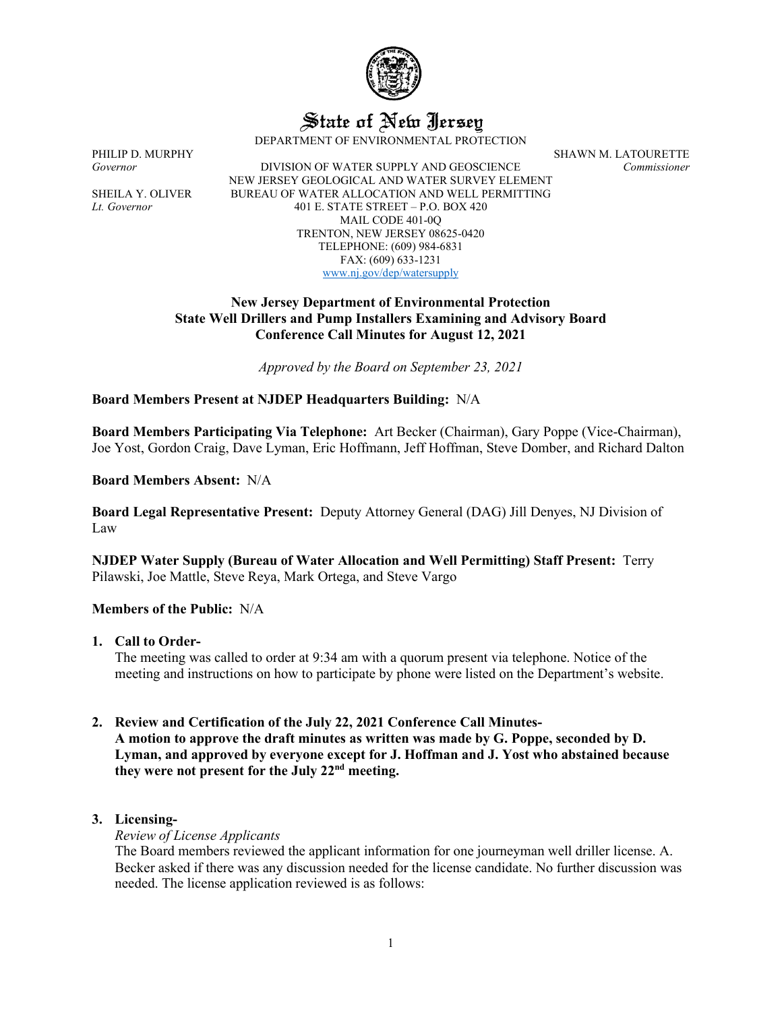

State of New Jersey

DEPARTMENT OF ENVIRONMENTAL PROTECTION

*Governor* DIVISION OF WATER SUPPLY AND GEOSCIENCE *Commissioner* NEW JERSEY GEOLOGICAL AND WATER SURVEY ELEMENT SHEILA Y. OLIVER BUREAU OF WATER ALLOCATION AND WELL PERMITTING *Lt. Governor* 401 E. STATE STREET – P.O. BOX 420 MAIL CODE 401-0Q TRENTON, NEW JERSEY 08625-0420 TELEPHONE: (609) 984-6831 FAX: (609) 633-1231 [www.nj.gov/dep/watersupply](http://www.nj.gov/dep/watersupply)

PHILIP D. MURPHY SHAWN M. LATOURETTE

## **New Jersey Department of Environmental Protection State Well Drillers and Pump Installers Examining and Advisory Board Conference Call Minutes for August 12, 2021**

*Approved by the Board on September 23, 2021*

## **Board Members Present at NJDEP Headquarters Building:** N/A

**Board Members Participating Via Telephone:** Art Becker (Chairman), Gary Poppe (Vice-Chairman), Joe Yost, Gordon Craig, Dave Lyman, Eric Hoffmann, Jeff Hoffman, Steve Domber, and Richard Dalton

**Board Members Absent:** N/A

**Board Legal Representative Present:** Deputy Attorney General (DAG) Jill Denyes, NJ Division of Law

**NJDEP Water Supply (Bureau of Water Allocation and Well Permitting) Staff Present:** Terry Pilawski, Joe Mattle, Steve Reya, Mark Ortega, and Steve Vargo

#### **Members of the Public:** N/A

**1. Call to Order-**

The meeting was called to order at 9:34 am with a quorum present via telephone. Notice of the meeting and instructions on how to participate by phone were listed on the Department's website.

## **2. Review and Certification of the July 22, 2021 Conference Call Minutes-A motion to approve the draft minutes as written was made by G. Poppe, seconded by D. Lyman, and approved by everyone except for J. Hoffman and J. Yost who abstained because they were not present for the July 22nd meeting.**

## **3. Licensing-**

*Review of License Applicants*

The Board members reviewed the applicant information for one journeyman well driller license. A. Becker asked if there was any discussion needed for the license candidate. No further discussion was needed. The license application reviewed is as follows: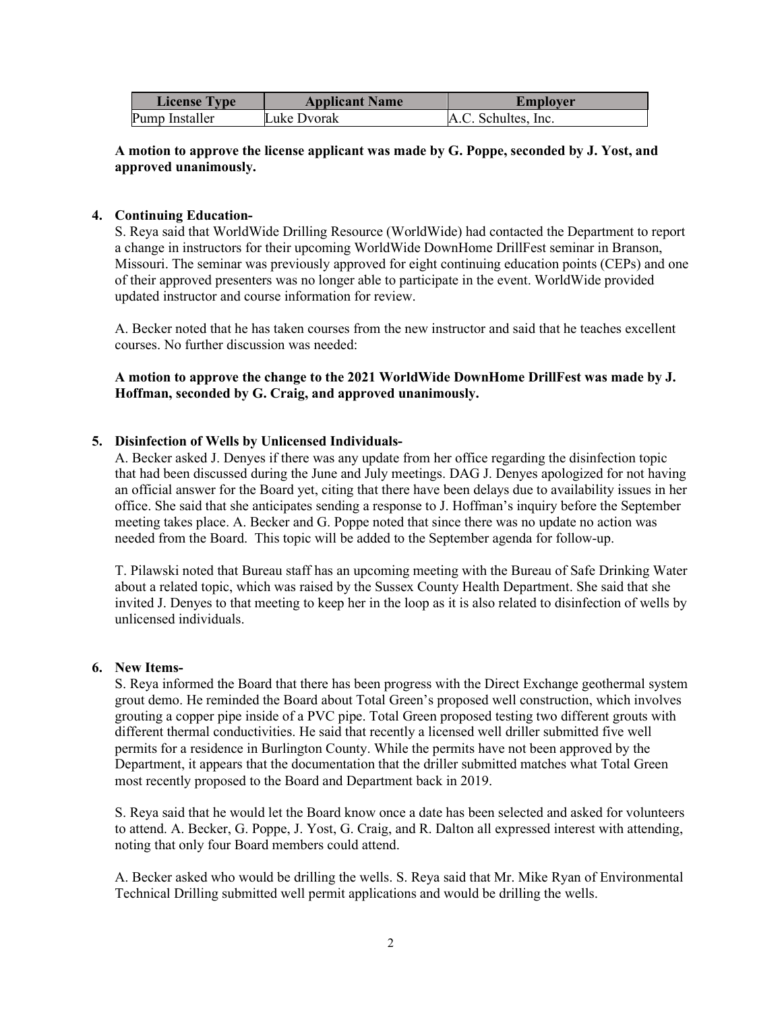| <b>License Type</b> | <b>Applicant Name</b> | <b>Employer</b>     |
|---------------------|-----------------------|---------------------|
| Pump Installer      | Luke Dvorak           | A.C. Schultes, Inc. |

## **A motion to approve the license applicant was made by G. Poppe, seconded by J. Yost, and approved unanimously.**

## **4. Continuing Education-**

S. Reya said that WorldWide Drilling Resource (WorldWide) had contacted the Department to report a change in instructors for their upcoming WorldWide DownHome DrillFest seminar in Branson, Missouri. The seminar was previously approved for eight continuing education points (CEPs) and one of their approved presenters was no longer able to participate in the event. WorldWide provided updated instructor and course information for review.

A. Becker noted that he has taken courses from the new instructor and said that he teaches excellent courses. No further discussion was needed:

**A motion to approve the change to the 2021 WorldWide DownHome DrillFest was made by J. Hoffman, seconded by G. Craig, and approved unanimously.**

#### **5. Disinfection of Wells by Unlicensed Individuals-**

A. Becker asked J. Denyes if there was any update from her office regarding the disinfection topic that had been discussed during the June and July meetings. DAG J. Denyes apologized for not having an official answer for the Board yet, citing that there have been delays due to availability issues in her office. She said that she anticipates sending a response to J. Hoffman's inquiry before the September meeting takes place. A. Becker and G. Poppe noted that since there was no update no action was needed from the Board. This topic will be added to the September agenda for follow-up.

T. Pilawski noted that Bureau staff has an upcoming meeting with the Bureau of Safe Drinking Water about a related topic, which was raised by the Sussex County Health Department. She said that she invited J. Denyes to that meeting to keep her in the loop as it is also related to disinfection of wells by unlicensed individuals.

#### **6. New Items-**

S. Reya informed the Board that there has been progress with the Direct Exchange geothermal system grout demo. He reminded the Board about Total Green's proposed well construction, which involves grouting a copper pipe inside of a PVC pipe. Total Green proposed testing two different grouts with different thermal conductivities. He said that recently a licensed well driller submitted five well permits for a residence in Burlington County. While the permits have not been approved by the Department, it appears that the documentation that the driller submitted matches what Total Green most recently proposed to the Board and Department back in 2019.

S. Reya said that he would let the Board know once a date has been selected and asked for volunteers to attend. A. Becker, G. Poppe, J. Yost, G. Craig, and R. Dalton all expressed interest with attending, noting that only four Board members could attend.

A. Becker asked who would be drilling the wells. S. Reya said that Mr. Mike Ryan of Environmental Technical Drilling submitted well permit applications and would be drilling the wells.